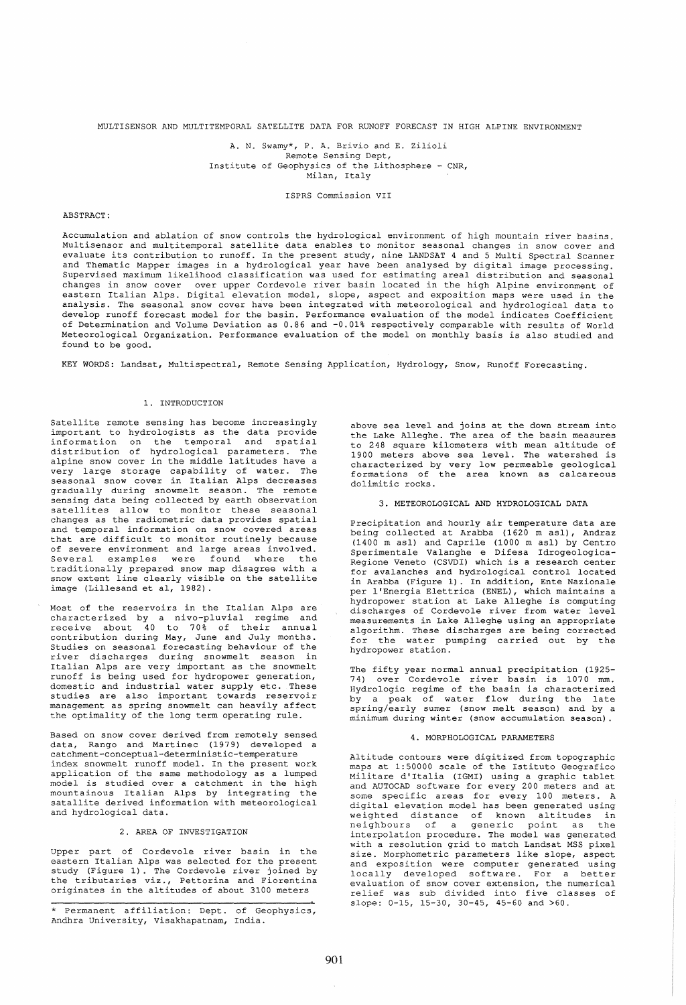MULTISENSOR AND MULTITEMPORAL SATELLITE DATA FOR RUNOFF FORECAST IN HIGH ALPINE ENVIRONMENT

A. N. Swamy\*, P. A. Brivio and E. zilioli Remote Sensing Dept, Institute of Geophysics of the Lithosphere - CNR, Milan, Italy

ISPRS Commission VII

## ABSTRACT:

Accumulation and ablation of snow controls the hydrological environment of high mountain river basins. Multisensor and multitemporal satellite data enables to monitor seasonal changes in snow cover and evaluate its contribution to runoff. In the present study, nine LANDSAT 4 and 5 Multi Spectral Scanner and Thematic Mapper images in a hydrological year have been analysed by digital image processing. Supervised maximum likelihood classification was used for estimating areal distribution and seasonal changes in snow cover over upper Cordevole river basin located in the high Alpine environment of eastern Italian Alps. Digital elevation model, slope, aspect and exposition maps were used in the analysis. The seasonal snow cover have been integrated with meteorological and hydrological data to develop runoff forecast model for the basin. Performance evaluation of the model indicates Coefficient of Determination and Volume Deviation as 0.86 and -0.01% respectively comparable with results of World Meteorological Organization. Performance evaluation of the model on monthly basis is also studied and found to be good.

KEY WORDS: Landsat, Multispectral, Remote Sensing Application, Hydrology, Snow, Runoff Forecasting.

## 1. INTRODUCTION

Satellite remote sensing has become increasingly important to hydrologists as the data provide information on the temporal and spatial distribution of hydrological parameters. The alpine snow cover in the middle latitudes have a very large storage capability of water. The seasonal snow cover in Italian Alps decreases gradually during snowmelt season. The remote sensing data being collected by earth observation satellites allow to monitor these seasonal changes as the radiometric data provides spatial and temporal information on snow covered areas that are difficult to monitor routinely because of severe environment and large areas involved. Several examples were found where the traditionally prepared snow map disagree with a snow extent line clearly visible on the satellite image (Lillesand et aI, 1982).

Most of the reservoirs in the Italian Alps are characterized by a nivo-pluvial regime and receive about 40 to 70% of their annual contribution during May, June and July months. Studies on seasonal forecasting behaviour of the river discharges during snowmelt season in Italian Alps are very important as the snowmelt runoff is being used for hydropower generation, domestic and industrial water supply etc. These studies are also important towards reservoir management as spring snowmelt can heavily affect the optimality of the long term operating rule.

Based on snow cover derived from remotely sensed data, Rango and Martinec (1979) developed a catchment-conceptual-deterministic-temperature index snowmelt runoff model. In the present work application of the same methodology as a lumped model is studied over a catchment in the high mountainous Italian Alps by integrating the satallite derived information with meteorological and hydrological data.

# 2. AREA OF INVESTIGATION

Upper part of Cordevole river basin in the eastern Italian Alps was selected for the present study (Figure 1). The Cordevole river joined by the tributaries viz., Pettorina and Fiorentina originates in the altitudes of about 3100 meters

\* Permanent affiliation: Dept. of Geophysics, Andhra University, Visakhapatnam, India.

above sea level and joins at the down stream into the Lake Alleghe. The area of the basin measures to 248 square kilometers with mean altitude of 1900 meters above sea level. The watershed is characterized by very low permeable geological formations of the area known as calcareous dolimitic rocks.

### 3. METEOROLOGICAL AND HYDROLOGICAL DATA

Precipitation and hourly air temperature data are being collected at Arabba (1620 m asl), Andraz (1400 m asl) and Caprile (1000 m asl) by Centro Sperimentale Valanghe e Difesa Idrogeologica-Regione Veneto (CSVDI) which is a research center for avalanches and hydrological control located in Arabba (Figure 1). In addition, Ente Nazionale per l'Energia Elettrica (ENEL), which maintains a hydropower station at Lake Alleghe is computing discharges of Cordevole river from water level measurements in Lake Alleghe using an appropriate algorithm. These discharges are being corrected for the water pumping carried out by the hydropower station.

The fifty year normal annual precipitation (1925–<br>74) over Cordevole river basin is 1070 mm. Hydrologic regime of the basin is characterized by a peak of water flow during the late spring/early sumer (snow melt season) and by a minimum during winter (snow accumulation season) .

## 4. MORPHOLOGICAL PARAMETERS

Altitude contours were digitized from topographic maps at 1:50000 scale of the Istituto Geografico Militare d'Italia (IGMI) using a graphic tablet and AUTOCAD software for every 200 meters and at some specific areas for every 100 meters. A digital elevation model has been generated using weighted distance of known altitudes in neighbours of a generic point as the interpolation procedure. The model was generated with a resolution grid to match Landsat MSS pixel size. Morphometric parameters like slope, aspect and exposition were computer generated using locally developed software. For a better locally developed software. For a better<br>evaluation of snow cover extension, the numerical relief was sub divided into five classes of slope: 0-15, 15-30, 30-45, 45-60 and >60.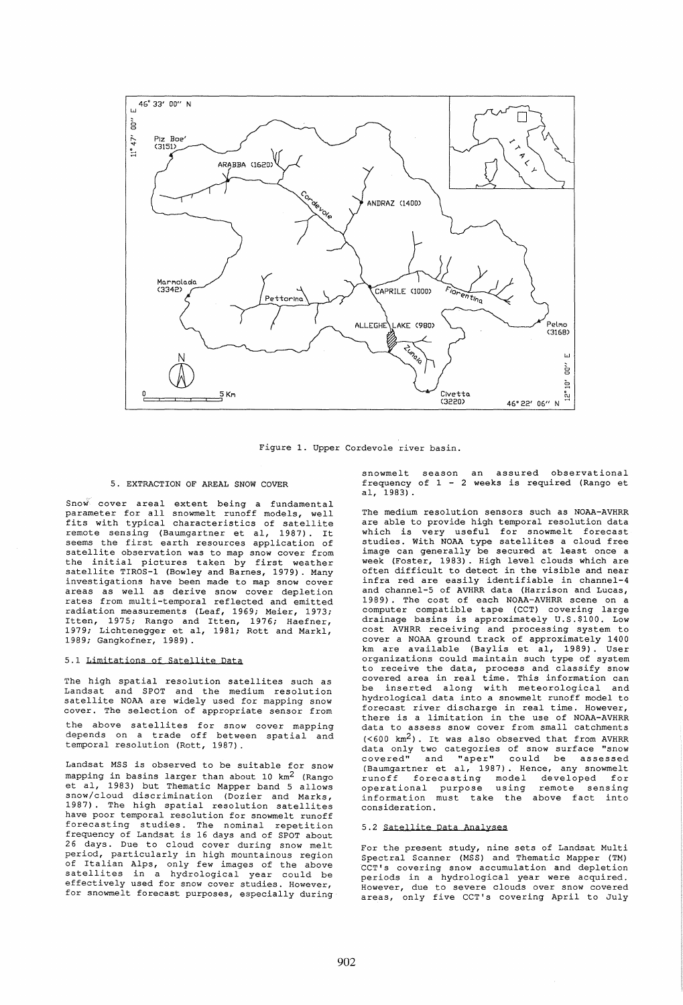

Figure 1. Upper Cordevole river basin.

## 5. EXTRACTION OF AREAL SNOW COVER

Snow' cover areal extent being a fundamental parameter for all snowmelt runoff models, well fits with typical characteristics of satellite<br>remote sensing (Baumgartner et al, 1987). It remote sensing (Baumgartner et aI, 1987). It seems the first earth resources application of satellite observation was to map snow cover from<br>the initial pictures taken by first weather the initial pictures taken by first satellite TIROS-1 (Bowley and Barnes, 1979). Many investigations have been made to map snow cover areas as well as derive snow cover depletion rates from multi-temporal reflected and emitted radiation measurements (Leaf, 1969; Meier, 1973; Itten, 1975; Rango and Itten, 1976; Haefner, 1979; Lichtenegger et aI, 1981; Rott and Markl, 1989; Gangkofner, 1989).

## 5.1 Limitations of Satellite Data

The high spatial resolution satellites such as Landsat and SPOT and the medium resolution satellite NOAA are widely used for mapping snow cover. The selection of appropriate sensor from the above satellites for snow cover mapping depends on a trade off between spatial and temporal resolution (Rott, 1987).

Landsat MSS is observed to be suitable for snow mapping in basins larger than about 10  $km^2$  (Rango et aI, 1983) but Thematic Mapper band 5 allows snow/cloud discrimination (Dozier and Marks, 1987). The high spatial resolution satellites have poor temporal resolution for snowmelt runoff forecasting studies. The nominal repetition frequency of Landsat is 16 days and of SPOT about 26 days. Due to cloud cover during snow melt period, particularly in high mountainous region of Italian Alps, only few images of the above satellites in a hydrological year could be effectively used for snow cover studies. However, for snowmelt forecast purposes, especially during snowmelt season an assured observational frequency of 1 - 2 weeks is required (Rango et aI, 1983).

The medium resolution sensors such as NOAA-AVHRR are able to provide high temporal resolution data which is very useful for snowmelt forecast studies. With NOAA type satellites a cloud free image can generally be secured at least once a week (Foster, 1983). High level clouds which are often difficult to detect in the visible and near infra red are easily identifiable in channel-4 and channel-5 of AVHRR data (Harrison and Lucas, 1989). The cost of each NOAA-AVHRR scene on a computer compatible tape (CCT) covering large drainage basins is approximately U. S. \$100. Low cost AVHRR receiving and processing system to cover a NOAA ground track of approximately 1400 km are available (Baylis et aI, 1989). User organizations could maintain such type of system to receive the data, process and classify snow covered area in real time. This information can be inserted along with meteorological and hydrological data into a snowmelt runoff model to forecast river discharge in real time. However, there is a limitation in the use of NOAA-AVHRR data to assess snow cover from small catchments  $(<600$  km<sup>2</sup>). It was also observed that from AVHRR data only two categories of snow surface "snow covered" and naper" could be assessed (Baumgartner et aI, 1987). Hence, any snowmelt runoff forecasting model developed for operational purpose using remote sensing information must take the above fact into consideration.

# 5.2 Satellite Data Analyses

For the present study, nine sets of Landsat Multi Spectral Scanner (MSS) and Thematic Mapper (TM) CCT's covering snow accumulation and depletion periods in a hydrological year were acquired. However, due to severe clouds over snow covered areas, only five CCT's covering April to July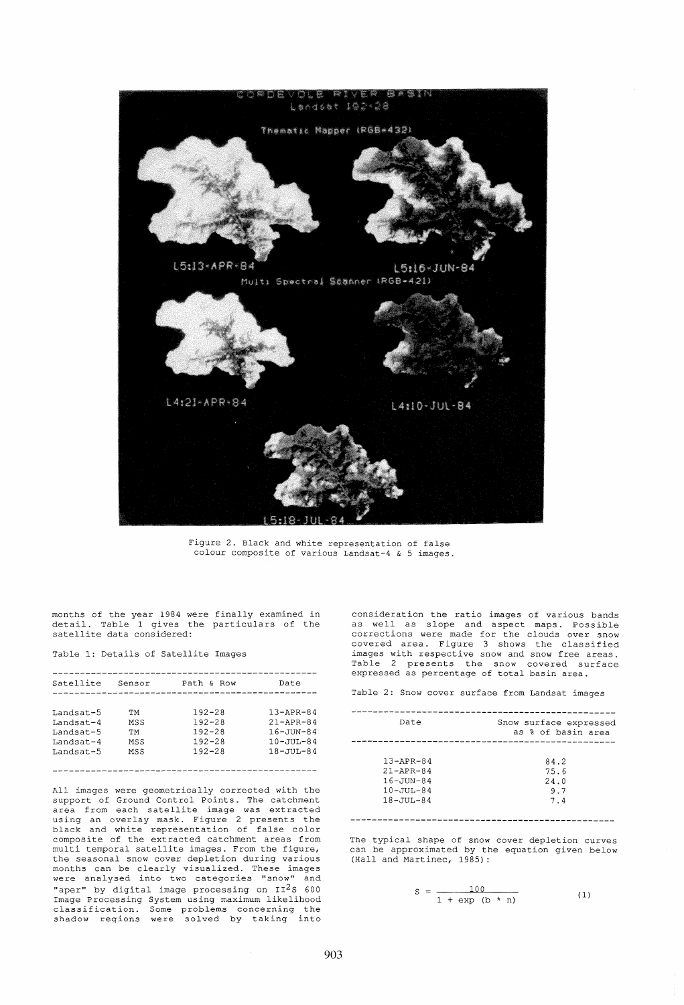

Figure 2. Black and white representation of false colour composite of various Landsat-4 & 5 images.

months of the year 1984 were finally examined in detail. Table 1 gives the particulars of the satellite data considered:

Table 1: Details of Satellite Images

| Satellite | Sensor | Path & Row | Date             |
|-----------|--------|------------|------------------|
|           |        |            |                  |
| Landsat-5 | TМ     | $192 - 28$ | $13 - APR - 84$  |
| Landsat-4 | MSS    | $192 - 28$ | $21 - APR - 84$  |
| Landsat-5 | TМ     | $192 - 28$ | $16 - JUN - 84$  |
| Landsat-4 | MSS    | $192 - 28$ | $10 - 7111 - 84$ |
| Landsat-5 | MSS    | $192 - 28$ | $18 - JUU - 84$  |
|           |        |            |                  |
|           |        |            |                  |

All images were geometrically corrected with the support of Ground Control Points. The catchment area from each satellite image was extracted using an overlay mask. Figure 2 presents the black and white representation of false color composite of the extracted catchment areas from multi temporal satellite images. From the figure, the seasonal snow cover depletion during various months can be clearly visualized. These images were analysed into two categories "snow" and "aper" by digital image processing on  $II^2S$  600 Image Processing System using maximum likelihood<br>classification. Some problems concerning the<br>shadow regions were solved by taking into consideration the ratio images of various bands as well as slope and aspect maps. Possible corrections were made for the clouds over snow covered area. Figure 3 shows the classified images with respective snow and snow free areas. Table 2 presents the snow covered surface expressed as percentage of total basin area.

Table 2: Snow cover surface from Landsat images

| Date                                                                                        | Snow surface expressed<br>as % of basin area |  |
|---------------------------------------------------------------------------------------------|----------------------------------------------|--|
| $13 - APR - 84$<br>$21 - APR - 84$<br>$16 - JUN - 84$<br>$10 - JUU - 84$<br>$18 - JUI - 84$ | 84.2<br>75.6<br>24.0<br>9.7<br>7.4           |  |

The typical shape of snow cover depletion curves can be approximated by the equation given below (Hall and Martinec, 1985):

$$
S = \frac{100}{1 + \exp(b \times n)}
$$
 (1)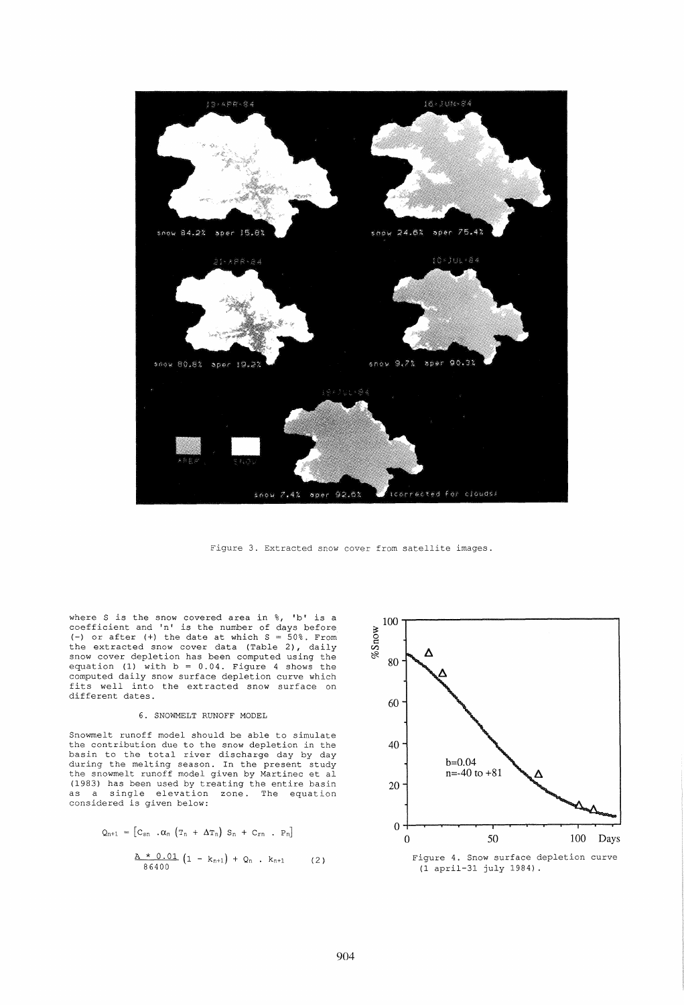

Figure 3. Extracted snow cover from satellite images.

where S is the snow covered area in %, 'b' is a coefficient and 'n' is the number of days before (-) or after (+) the date at which  $S = 50\%$ . From the extracted snow cover data (Table 2), daily snow cover depletion has been computed using the equation (1) with  $b = 0.04$ . Figure 4 shows the computed daily snow surface depletion curve which fits well into the extracted snow surface on different dates.

# 6. SNOWMELT RUNOFF MODEL

Snowmelt runoff model should be able to simulate the contribution due to the snow depletion in the basin to the total river discharge day by day during the melting season. In the present study the snowmelt runoff model given by Martinec et al (1983) has been used by treating the entire basin as a single elevation zone. The equation considered *is* given below:

$$
Q_{n+1} = [C_{sn} \cdot \alpha_n (T_n + \Delta T_n) S_n + C_{rn} \cdot P_n]
$$
  

$$
\frac{A * 0.01}{86400} (1 - k_{n+1}) + Q_n \cdot k_{n+1}
$$
 (2)

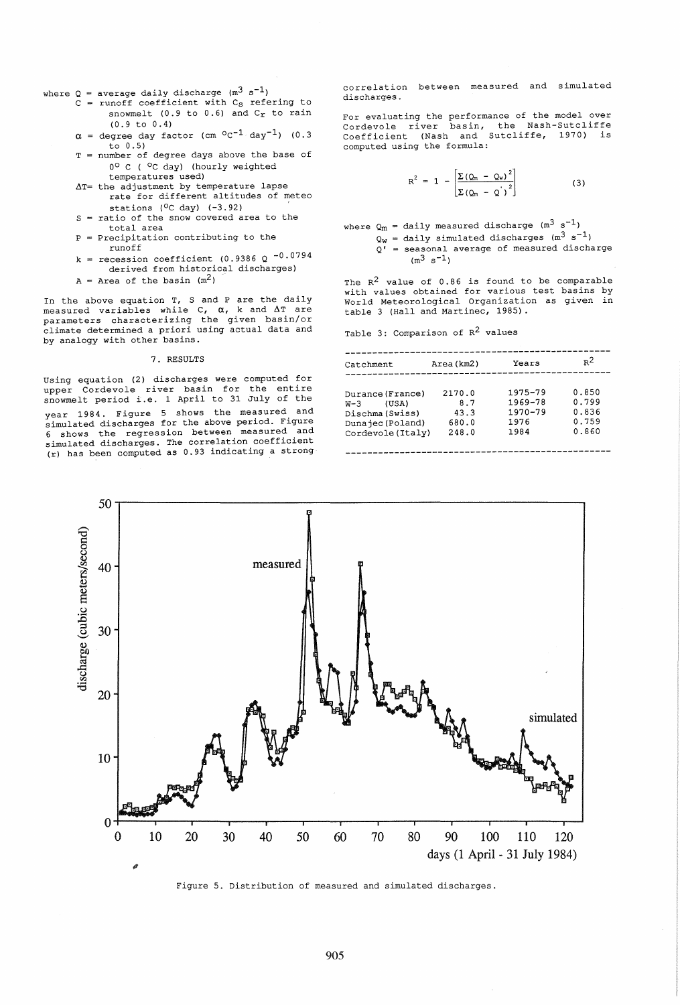where Q = average daily discharge (m $^3$  s<sup>-1</sup>)

- $c =$  runoff coefficient with  $c_s$  refering to snowmelt (0.9 to 0.6) and  $C_r$  to rain (0.9 to 0.4)
- $\alpha$  = degree day factor (cm  $^{\circ}$ c<sup>-1</sup> day<sup>-1</sup>) (0.3 to 0.5)
- T number of degree days above the base of 00 C ( °c day) (hourly weighted
- $\Delta T$ = the adjustment by temperature lapse temperatures used) rate for different altitudes of meteo
- $S =$  ratio of the snow covered area to the stations  $(°C day)$   $(-3.92)$
- total area = Precipitation contributing to the
- P runoff
- k = recession coefficient (0.9386 Q  $-0.0794$ derived from historical discharges)
- $A = Area of the basin (m<sup>2</sup>)$

In the above equation T, S and P are the daily measured variables while  $C$ ,  $\alpha$ , k and  $\Delta T$  are parameters characterizing the given basin/or climate determined a priori using actual data and by analogy with other basins.

### 7. RESULTS

using equation (2) discharges were computed for upper Cordevole river basin for the entire snowmelt period i.e. 1 April to 31 July of the year 1984. Figure 5 shows the measured and simulated discharges for the above period. Figure 6 shows the regression between measured and simulated discharges. The correlation coefficient (r) has been computed as 0.93 indicating a strong correlation between measured and simulated discharges.

For evaluating the performance of the model over Cordevole river basin, the Nash-Sutcliffe Coefficient (Nash and Sutcliffe, 1970) is computed using the formula:

$$
R^{2} = 1 - \left[ \frac{\Sigma (\mathcal{Q}_{m} - \mathcal{Q}_{w})^{2}}{\Sigma (\mathcal{Q}_{m} - \mathcal{Q})^{2}} \right]
$$
 (3)

where  $\mathsf{Q}_m$  = daily measured discharge (m<sup>3</sup> s<sup>-1</sup>)  $Q_W$  = daily simulated discharges (m<sup>3</sup> s<sup>-1</sup>)  $\overline{O}$ <sup> $\overline{O}$ </sup> = seasonal average of measured discharge

 $(m^3 s^{-1})$ The  $R^2$  value of 0.86 is found to be comparable with values obtained for various test basins by World Meteorological Organization as given in

# table 3 (Hall and Martinec, 1985). Table 3: Comparison of  $R^2$  values

| Catchment                                                                                      | Area (km2)                              | Years                                                 | $R^2$                                     |
|------------------------------------------------------------------------------------------------|-----------------------------------------|-------------------------------------------------------|-------------------------------------------|
| Durance (France)<br>(USA)<br>$W-3$<br>Dischma (Swiss)<br>Dunajec (Poland)<br>Cordevole (Italy) | 2170.0<br>8.7<br>43.3<br>680.0<br>248.0 | 1975-79<br>$1969 - 78$<br>$1970 - 79$<br>1976<br>1984 | 0.850<br>0.799<br>0.836<br>0.759<br>0.860 |



Figure 5. Distribution of measured and simulated discharges.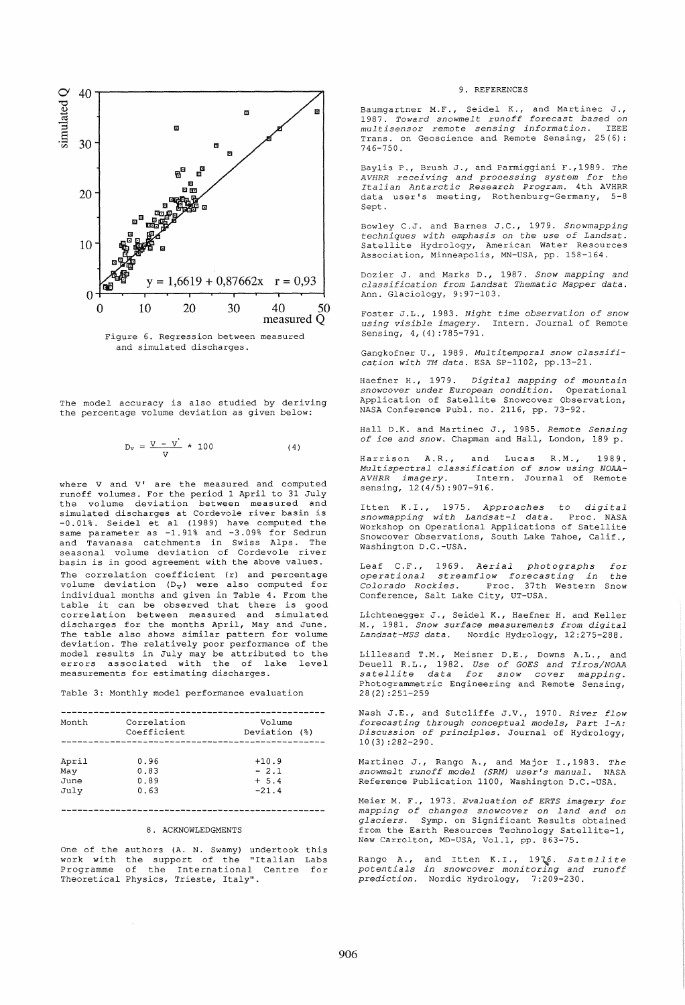

and simulated discharges.

The model accuracy is also studied by deriving the percentage volume deviation as given below:

$$
D_v = \frac{V - V}{V} \times 100
$$
 (4)

where V and V' are the measured and computed runoff volumes. For the period 1 April to 31 July the volume deviation between measured and simulated discharges at Cordevole river basin is -0.01%. Seidel et al (1989) have computed the same parameter as -1.91% and -3.09% for Sedrun and Tavanasa catchments in Swiss Alps. The seasonal volume deviation of Cordevole river basin is in good agreement with the above values. The correlation coefficient (r) and percentage volume deviation  $(D_V)$  were also computed for individual months and given in Table 4. From the table it can be observed that there is good correlation between measured and simulated discharges for the months April, May and June. The table also shows similar pattern for volume deviation. The relatively poor performance of the model results in July may be attributed to the errors associated with the of lake level measurements for estimating discharges.

Table 3: Monthly model performance evaluation

| Month                        | Correlation<br>Coefficient   | Volume<br>Deviation (%)                 |  |
|------------------------------|------------------------------|-----------------------------------------|--|
| April<br>May<br>June<br>July | 0.96<br>0.83<br>0.89<br>0.63 | $+10.9$<br>$-2.1$<br>$+ 5.4$<br>$-21.4$ |  |

# 

# 8. ACKNOWLEDGMENTS

One of the authors (A. N. Swamy) undertook this one of the duchois (if it swamp) undercook chip Programme of the International Centre for Theoretical Physics, Trieste, Italy".

#### 9. REFERENCES

Baumgartner M.F., Seidel K., and Martinec J., *1987. Toward snowmelt runoff forecast based on multisensor remote sensing information.* IEEE Trans. on Geoscience and Remote Sensing, 25(6): 746-750.

Baylis P., Brush J., and Parmiggiani F.,1989. *The AVHRR receiving and processing system for the Italian Antarctic Research Program.* 4th AVHRR data user's meeting, Rothenburg-Germany, 5-8 Sept.

Bowley C.J. and Barnes J.C., 1979. *Snowmapping techniques with emphasis on the use of Landsat.*  Satellite Hydrology, American Water Resources Association, Minneapolis, MN-USA, pp. 158-164.

Dozier J. and Marks D., 1987. *Snow mapping and classification from Landsat Thematic Mapper data.*  Ann. Glaciology, 9:97-103.

Foster J.L., 1983. *Night time observation of snow using visible imagery.* Intern. Journal of Remote Sensing, 4, (4):785-791.

Gangkofner U., 1989. *Multitemporal snow classification with TM data.* ESA SP-1102, pp.13-21.

Haefner H., 1979. *Digital mapping of mountain snowcover under European condition.* Operational Application of Satellite Snowcover Observation, NASA Conference Publ. no. 2116, pp. 73-92.

Hall D.K. and Martinec J., 1985. *Remote Sensing of ice and snow.* Chapman and Hall, London, 189 p.

Harrison A.R., and Lucas R.M., 1989. *Multispectral classification of snow using NOAA-*Intern. Journal of Remote sensing,  $12(4/5)$ : 907-916.

Itten K.I., 1975. *Approaches* to *digital snowmapping with Landsat-l data.* Proc. NASA Workshop on Operational Applications of Satellite Snowcover Observations, South Lake Tahoe, Calif., Washington D.C.-USA.

Leaf C.F., 1969. *Aerial photographs operational streamflow forecasting in Colorado Rockies.* Proc. 37th Western Snow Colorado Rockies. Proc. 37th<br>Conference, Salt Lake City, UT-USA. *for the* 

Lichtenegger J., Seidel K., Haefner H. and Keller *M.,* 1981. *Snow surface measurements from digital Landsat-MSS data.* Nordic Hydrology, 12:275-288.

Lillesand T.M., Meisner D.E., Downs A.L., Deuell R. L., 1982. *Use of GOES and Tiros/NOAA satellite data for snow cover mapping.*  Photogrammetric Engineering and Remote Sensing, 28 (2) :251-259

Nash J.E., and Sutcliffe J.V., 1970. *River flow forecasting through conceptual models, Part l-A: Discussion of principles.* Journal of Hydrology, 10 (3) :282-290.

Martinec J., Rango A., and Major 1.,1983. *The*   $s$ nowmelt runoff model (SRM) user's manual. Reference Publication 1100, Washington D.C.-USA.

Meier M. F., 1973. *Evaluation of ERTS imagery for mapping of changes snowcover on land and on glaciers.* Symp. on Significant Results obtained from the Earth Resources Technology Satellite-1, New Carrolton, MD-USA, Vol.l, pp. 863-75.

Rango A., and Itten K.I., 1976. *Satellite*<br>pote*ntials in snowcover monitoring and runoff prediction.*  Nordic Hydrology, 7:209-230.